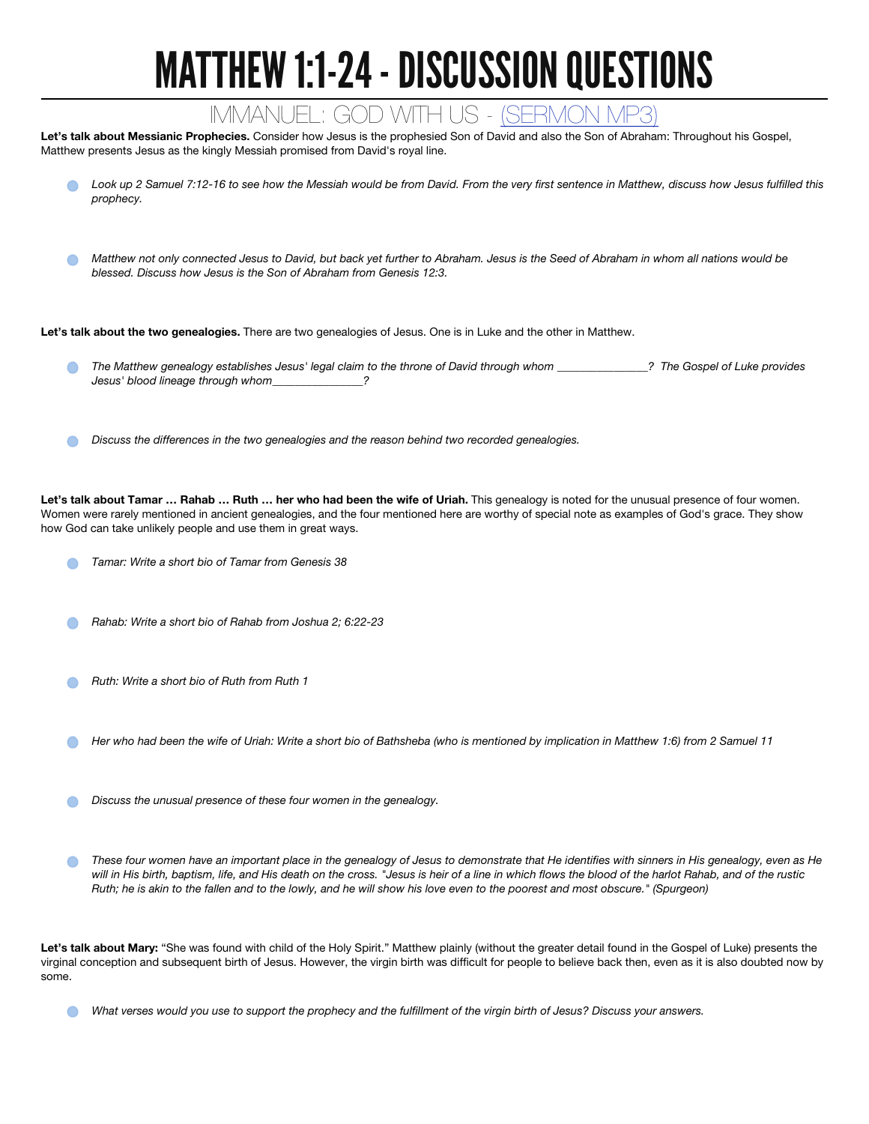## MATTHEW 1:1-24 - DISCUSSION QUESTIONS

## IMMANUEL: GOD WITH US - (SERMON

Let's talk about Messianic Prophecies. Consider how Jesus is the prophesied Son of David and also the Son of Abraham: Throughout his Gospel, Matthew presents Jesus as the kingly Messiah promised from David's royal line.

- *Look up 2 Samuel 7:12-16 to see how the Messiah would be from David. From the very first sentence in Matthew, discuss how Jesus fulfilled this prophecy.*
- *Matthew not only connected Jesus to David, but back yet further to Abraham. Jesus is the Seed of Abraham in whom all nations would be blessed. Discuss how Jesus is the Son of Abraham from Genesis 12:3.*

Let's talk about the two genealogies. There are two genealogies of Jesus. One is in Luke and the other in Matthew.

- *The Matthew genealogy establishes Jesus' legal claim to the throne of David through whom \_\_\_\_\_\_\_\_\_\_\_\_\_\_\_\_? The Gospel of Luke provides Jesus' blood lineage through whom\_\_\_\_\_\_\_\_\_\_\_\_\_\_\_\_?* 
	- *Discuss the differences in the two genealogies and the reason behind two recorded genealogies.*

Let's talk about Tamar ... Rahab ... Ruth ... her who had been the wife of Uriah. This genealogy is noted for the unusual presence of four women. Women were rarely mentioned in ancient genealogies, and the four mentioned here are worthy of special note as examples of God's grace. They show how God can take unlikely people and use them in great ways.

- *Tamar: Write a short bio of Tamar from Genesis 38*
- *Rahab: Write a short bio of Rahab from Joshua 2; 6:22-23*
- *Ruth: Write a short bio of Ruth from Ruth 1*
- *Her who had been the wife of Uriah: Write a short bio of Bathsheba (who is mentioned by implication in Matthew 1:6) from 2 Samuel 11*
- *Discuss the unusual presence of these four women in the genealogy.*
- *These four women have an important place in the genealogy of Jesus to demonstrate that He identifies with sinners in His genealogy, even as He*   $\bigcap$ *will in His birth, baptism, life, and His death on the cross. "Jesus is heir of a line in which flows the blood of the harlot Rahab, and of the rustic Ruth; he is akin to the fallen and to the lowly, and he will show his love even to the poorest and most obscure." (Spurgeon)*

Let's talk about Mary: "She was found with child of the Holy Spirit." Matthew plainly (without the greater detail found in the Gospel of Luke) presents the virginal conception and subsequent birth of Jesus. However, the virgin birth was difficult for people to believe back then, even as it is also doubted now by some.

*What verses would you use to support the prophecy and the fulfillment of the virgin birth of Jesus? Discuss your answers.*